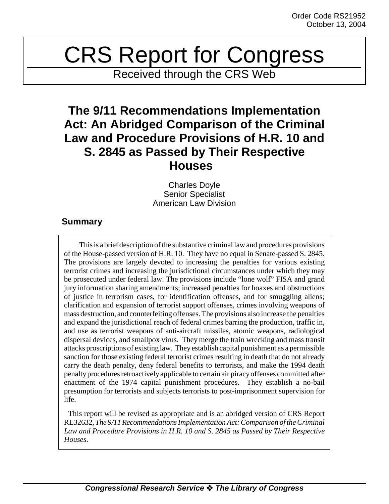## CRS Report for Congress

Received through the CRS Web

## **The 9/11 Recommendations Implementation Act: An Abridged Comparison of the Criminal Law and Procedure Provisions of H.R. 10 and S. 2845 as Passed by Their Respective Houses**

Charles Doyle Senior Specialist American Law Division

## **Summary**

This is a brief description of the substantive criminal law and procedures provisions of the House-passed version of H.R. 10. They have no equal in Senate-passed S. 2845. The provisions are largely devoted to increasing the penalties for various existing terrorist crimes and increasing the jurisdictional circumstances under which they may be prosecuted under federal law. The provisions include "lone wolf" FISA and grand jury information sharing amendments; increased penalties for hoaxes and obstructions of justice in terrorism cases, for identification offenses, and for smuggling aliens; clarification and expansion of terrorist support offenses, crimes involving weapons of mass destruction, and counterfeiting offenses. The provisions also increase the penalties and expand the jurisdictional reach of federal crimes barring the production, traffic in, and use as terrorist weapons of anti-aircraft missiles, atomic weapons, radiological dispersal devices, and smallpox virus. They merge the train wrecking and mass transit attacks proscriptions of existing law. They establish capital punishment as a permissible sanction for those existing federal terrorist crimes resulting in death that do not already carry the death penalty, deny federal benefits to terrorists, and make the 1994 death penalty procedures retroactively applicable to certain air piracy offenses committed after enactment of the 1974 capital punishment procedures. They establish a no-bail presumption for terrorists and subjects terrorists to post-imprisonment supervision for life.

 This report will be revised as appropriate and is an abridged version of CRS Report RL32632, *The 9/11 Recommendations Implementation Act: Comparison of the Criminal Law and Procedure Provisions in H.R. 10 and S. 2845 as Passed by Their Respective Houses*.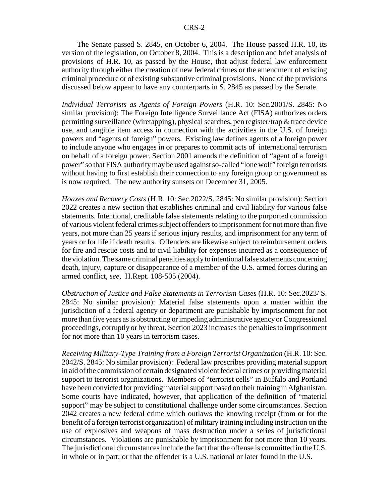The Senate passed S. 2845, on October 6, 2004. The House passed H.R. 10, its version of the legislation, on October 8, 2004. This is a description and brief analysis of provisions of H.R. 10, as passed by the House, that adjust federal law enforcement authority through either the creation of new federal crimes or the amendment of existing criminal procedure or of existing substantive criminal provisions. None of the provisions discussed below appear to have any counterparts in S. 2845 as passed by the Senate.

*Individual Terrorists as Agents of Foreign Powers* (H.R. 10: Sec.2001/S. 2845: No similar provision): The Foreign Intelligence Surveillance Act (FISA) authorizes orders permitting surveillance (wiretapping), physical searches, pen register/trap & trace device use, and tangible item access in connection with the activities in the U.S. of foreign powers and "agents of foreign" powers. Existing law defines agents of a foreign power to include anyone who engages in or prepares to commit acts of international terrorism on behalf of a foreign power. Section 2001 amends the definition of "agent of a foreign power" so that FISA authority may be used against so-called "lone wolf" foreign terrorists without having to first establish their connection to any foreign group or government as is now required. The new authority sunsets on December 31, 2005.

*Hoaxes and Recovery Costs* (H.R. 10: Sec.2022/S. 2845: No similar provision): Section 2022 creates a new section that establishes criminal and civil liability for various false statements. Intentional, creditable false statements relating to the purported commission of various violent federal crimes subject offenders to imprisonment for not more than five years, not more than 25 years if serious injury results, and imprisonment for any term of years or for life if death results. Offenders are likewise subject to reimbursement orders for fire and rescue costs and to civil liability for expenses incurred as a consequence of the violation. The same criminal penalties apply to intentional false statements concerning death, injury, capture or disappearance of a member of the U.S. armed forces during an armed conflict, *see*, H.Rept. 108-505 (2004).

*Obstruction of Justice and False Statements in Terrorism Cases* (H.R. 10: Sec.2023/ S. 2845: No similar provision): Material false statements upon a matter within the jurisdiction of a federal agency or department are punishable by imprisonment for not more than five years as is obstructing or impeding administrative agency or Congressional proceedings, corruptly or by threat. Section 2023 increases the penalties to imprisonment for not more than 10 years in terrorism cases.

*Receiving Military-Type Training from a Foreign Terrorist Organization* (H.R. 10: Sec. 2042/S. 2845: No similar provision): Federal law proscribes providing material support in aid of the commission of certain designated violent federal crimes or providing material support to terrorist organizations. Members of "terrorist cells" in Buffalo and Portland have been convicted for providing material support based on their training in Afghanistan. Some courts have indicated, however, that application of the definition of "material support" may be subject to constitutional challenge under some circumstances. Section 2042 creates a new federal crime which outlaws the knowing receipt (from or for the benefit of a foreign terrorist organization) of military training including instruction on the use of explosives and weapons of mass destruction under a series of jurisdictional circumstances. Violations are punishable by imprisonment for not more than 10 years. The jurisdictional circumstances include the fact that the offense is committed in the U.S. in whole or in part; or that the offender is a U.S. national or later found in the U.S.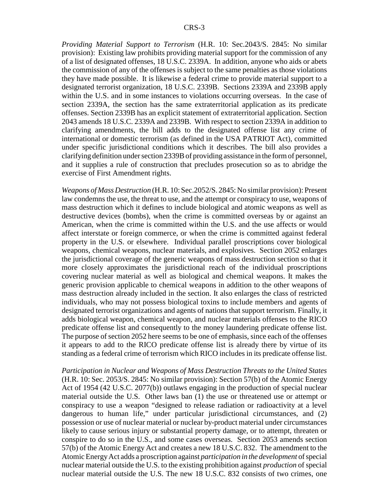*Providing Material Support to Terrorism* (H.R. 10: Sec.2043/S. 2845: No similar provision): Existing law prohibits providing material support for the commission of any of a list of designated offenses, 18 U.S.C. 2339A. In addition, anyone who aids or abets the commission of any of the offenses is subject to the same penalties as those violations they have made possible. It is likewise a federal crime to provide material support to a designated terrorist organization, 18 U.S.C. 2339B. Sections 2339A and 2339B apply within the U.S. and in some instances to violations occurring overseas. In the case of section 2339A, the section has the same extraterritorial application as its predicate offenses. Section 2339B has an explicit statement of extraterritorial application. Section 2043 amends 18 U.S.C. 2339A and 2339B. With respect to section 2339A in addition to clarifying amendments, the bill adds to the designated offense list any crime of international or domestic terrorism (as defined in the USA PATRIOT Act), committed under specific jurisdictional conditions which it describes. The bill also provides a clarifying definition under section 2339B of providing assistance in the form of personnel, and it supplies a rule of construction that precludes prosecution so as to abridge the exercise of First Amendment rights.

*Weapons of Mass Destruction* (H.R. 10: Sec.2052/S. 2845: No similar provision): Present law condemns the use, the threat to use, and the attempt or conspiracy to use, weapons of mass destruction which it defines to include biological and atomic weapons as well as destructive devices (bombs), when the crime is committed overseas by or against an American, when the crime is committed within the U.S. and the use affects or would affect interstate or foreign commerce, or when the crime is committed against federal property in the U.S. or elsewhere. Individual parallel proscriptions cover biological weapons, chemical weapons, nuclear materials, and explosives. Section 2052 enlarges the jurisdictional coverage of the generic weapons of mass destruction section so that it more closely approximates the jurisdictional reach of the individual proscriptions covering nuclear material as well as biological and chemical weapons. It makes the generic provision applicable to chemical weapons in addition to the other weapons of mass destruction already included in the section. It also enlarges the class of restricted individuals, who may not possess biological toxins to include members and agents of designated terrorist organizations and agents of nations that support terrorism. Finally, it adds biological weapon, chemical weapon, and nuclear materials offenses to the RICO predicate offense list and consequently to the money laundering predicate offense list. The purpose of section 2052 here seems to be one of emphasis, since each of the offenses it appears to add to the RICO predicate offense list is already there by virtue of its standing as a federal crime of terrorism which RICO includes in its predicate offense list.

*Participation in Nuclear and Weapons of Mass Destruction Threats to the United States* (H.R. 10: Sec. 2053/S. 2845: No similar provision): Section 57(b) of the Atomic Energy Act of 1954 (42 U.S.C. 2077(b)) outlaws engaging in the production of special nuclear material outside the U.S. Other laws ban (1) the use or threatened use or attempt or conspiracy to use a weapon "designed to release radiation or radioactivity at a level dangerous to human life," under particular jurisdictional circumstances, and (2) possession or use of nuclear material or nuclear by-product material under circumstances likely to cause serious injury or substantial property damage, or to attempt, threaten or conspire to do so in the U.S., and some cases overseas. Section 2053 amends section 57(b) of the Atomic Energy Act and creates a new 18 U.S.C. 832. The amendment to the Atomic Energy Act adds a proscription against *participation in the development* of special nuclear material outside the U.S. to the existing prohibition against *production* of special nuclear material outside the U.S. The new 18 U.S.C. 832 consists of two crimes, one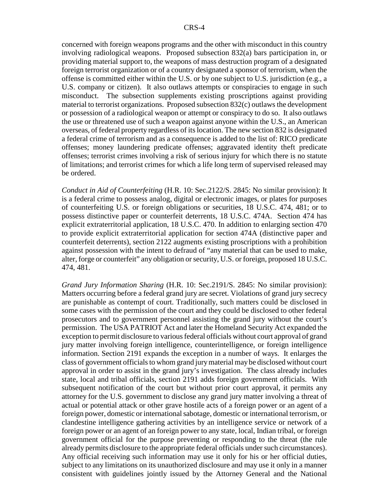concerned with foreign weapons programs and the other with misconduct in this country involving radiological weapons. Proposed subsection 832(a) bars participation in, or providing material support to, the weapons of mass destruction program of a designated foreign terrorist organization or of a country designated a sponsor of terrorism, when the offense is committed either within the U.S. or by one subject to U.S. jurisdiction (e.g., a U.S. company or citizen). It also outlaws attempts or conspiracies to engage in such misconduct. The subsection supplements existing proscriptions against providing material to terrorist organizations. Proposed subsection 832(c) outlaws the development or possession of a radiological weapon or attempt or conspiracy to do so. It also outlaws the use or threatened use of such a weapon against anyone within the U.S., an American overseas, of federal property regardless of its location. The new section 832 is designated a federal crime of terrorism and as a consequence is added to the list of: RICO predicate offenses; money laundering predicate offenses; aggravated identity theft predicate offenses; terrorist crimes involving a risk of serious injury for which there is no statute of limitations; and terrorist crimes for which a life long term of supervised released may be ordered.

*Conduct in Aid of Counterfeiting* (H.R. 10: Sec.2122/S. 2845: No similar provision): It is a federal crime to possess analog, digital or electronic images, or plates for purposes of counterfeiting U.S. or foreign obligations or securities, 18 U.S.C. 474, 481; or to possess distinctive paper or counterfeit deterrents, 18 U.S.C. 474A. Section 474 has explicit extraterritorial application, 18 U.S.C. 470. In addition to enlarging section 470 to provide explicit extraterritorial application for section 474A (distinctive paper and counterfeit deterrents), section 2122 augments existing proscriptions with a prohibition against possession with the intent to defraud of "any material that can be used to make, alter, forge or counterfeit" any obligation or security, U.S. or foreign, proposed 18 U.S.C. 474, 481.

*Grand Jury Information Sharing* (H.R. 10: Sec.2191/S. 2845: No similar provision): Matters occurring before a federal grand jury are secret. Violations of grand jury secrecy are punishable as contempt of court. Traditionally, such matters could be disclosed in some cases with the permission of the court and they could be disclosed to other federal prosecutors and to government personnel assisting the grand jury without the court's permission. The USA PATRIOT Act and later the Homeland Security Act expanded the exception to permit disclosure to various federal officials without court approval of grand jury matter involving foreign intelligence, counterintelligence, or foreign intelligence information. Section 2191 expands the exception in a number of ways. It enlarges the class of government officials to whom grand jury material may be disclosed without court approval in order to assist in the grand jury's investigation. The class already includes state, local and tribal officials, section 2191 adds foreign government officials. With subsequent notification of the court but without prior court approval, it permits any attorney for the U.S. government to disclose any grand jury matter involving a threat of actual or potential attack or other grave hostile acts of a foreign power or an agent of a foreign power, domestic or international sabotage, domestic or international terrorism, or clandestine intelligence gathering activities by an intelligence service or network of a foreign power or an agent of an foreign power to any state, local, Indian tribal, or foreign government official for the purpose preventing or responding to the threat (the rule already permits disclosure to the appropriate federal officials under such circumstances). Any official receiving such information may use it only for his or her official duties, subject to any limitations on its unauthorized disclosure and may use it only in a manner consistent with guidelines jointly issued by the Attorney General and the National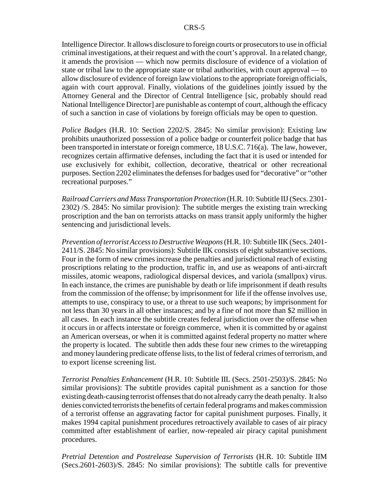Intelligence Director. It allows disclosure to foreign courts or prosecutors to use in official criminal investigations, at their request and with the court's approval. In a related change, it amends the provision — which now permits disclosure of evidence of a violation of state or tribal law to the appropriate state or tribal authorities, with court approval — to allow disclosure of evidence of foreign law violations to the appropriate foreign officials, again with court approval. Finally, violations of the guidelines jointly issued by the Attorney General and the Director of Central Intelligence [sic, probably should read National Intelligence Director] are punishable as contempt of court, although the efficacy of such a sanction in case of violations by foreign officials may be open to question.

*Police Badges* (H.R. 10: Section 2202/S. 2845: No similar provision): Existing law prohibits unauthorized possession of a police badge or counterfeit police badge that has been transported in interstate or foreign commerce, 18 U.S.C. 716(a). The law, however, recognizes certain affirmative defenses, including the fact that it is used or intended for use exclusively for exhibit, collection, decorative, theatrical or other recreational purposes. Section 2202 eliminates the defenses for badges used for "decorative" or "other recreational purposes."

*Railroad Carriers and Mass Transportation Protection* (H.R. 10: Subtitle IIJ (Secs. 2301- 2302) /S. 2845: No similar provision): The subtitle merges the existing train wrecking proscription and the ban on terrorists attacks on mass transit apply uniformly the higher sentencing and jurisdictional levels.

*Prevention of terrorist Access to Destructive Weapons* (H.R. 10: Subtitle IIK (Secs. 2401- 2411/S. 2845: No similar provisions): Subtitle IIK consists of eight substantive sections. Four in the form of new crimes increase the penalties and jurisdictional reach of existing proscriptions relating to the production, traffic in, and use as weapons of anti-aircraft missiles, atomic weapons, radiological dispersal devices, and variola (smallpox) virus. In each instance, the crimes are punishable by death or life imprisonment if death results from the commission of the offense; by imprisonment for life if the offense involves use, attempts to use, conspiracy to use, or a threat to use such weapons; by imprisonment for not less than 30 years in all other instances; and by a fine of not more than \$2 million in all cases. In each instance the subtitle creates federal jurisdiction over the offense when it occurs in or affects interstate or foreign commerce, when it is committed by or against an American overseas, or when it is committed against federal property no matter where the property is located. The subtitle then adds these four new crimes to the wiretapping and money laundering predicate offense lists, to the list of federal crimes of terrorism, and to export license screening list.

*Terrorist Penalties Enhancement* (H.R. 10: Subtitle IIL (Secs. 2501-2503)/S. 2845: No similar provisions): The subtitle provides capital punishment as a sanction for those existing death-causing terrorist offenses that do not already carry the death penalty. It also denies convicted terrorists the benefits of certain federal programs and makes commission of a terrorist offense an aggravating factor for capital punishment purposes. Finally, it makes 1994 capital punishment procedures retroactively available to cases of air piracy committed after establishment of earlier, now-repealed air piracy capital punishment procedures.

*Pretrial Detention and Postrelease Supervision of Terrorists* (H.R. 10: Subtitle IIM (Secs.2601-2603)/S. 2845: No similar provisions): The subtitle calls for preventive